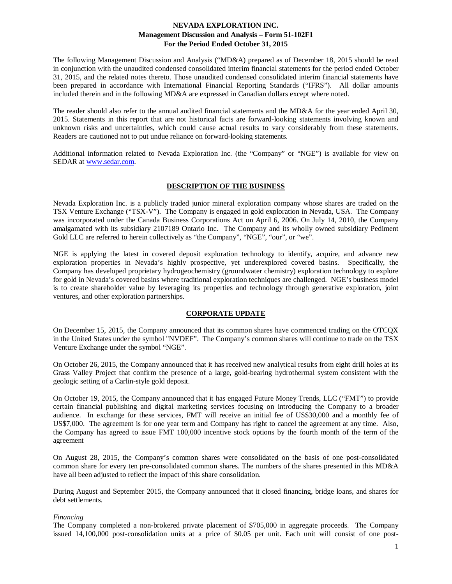The following Management Discussion and Analysis ("MD&A) prepared as of December 18, 2015 should be read in conjunction with the unaudited condensed consolidated interim financial statements for the period ended October 31, 2015, and the related notes thereto. Those unaudited condensed consolidated interim financial statements have been prepared in accordance with International Financial Reporting Standards ("IFRS"). All dollar amounts included therein and in the following MD&A are expressed in Canadian dollars except where noted.

The reader should also refer to the annual audited financial statements and the MD&A for the year ended April 30, 2015. Statements in this report that are not historical facts are forward-looking statements involving known and unknown risks and uncertainties, which could cause actual results to vary considerably from these statements. Readers are cautioned not to put undue reliance on forward-looking statements.

Additional information related to Nevada Exploration Inc. (the "Company" or "NGE") is available for view on SEDAR at [www.sedar.com.](http://www.sedar.com/)

## **DESCRIPTION OF THE BUSINESS**

Nevada Exploration Inc. is a publicly traded junior mineral exploration company whose shares are traded on the TSX Venture Exchange ("TSX-V"). The Company is engaged in gold exploration in Nevada, USA. The Company was incorporated under the Canada Business Corporations Act on April 6, 2006. On July 14, 2010, the Company amalgamated with its subsidiary 2107189 Ontario Inc. The Company and its wholly owned subsidiary Pediment Gold LLC are referred to herein collectively as "the Company", "NGE", "our", or "we".

NGE is applying the latest in covered deposit exploration technology to identify, acquire, and advance new exploration properties in Nevada's highly prospective, yet underexplored covered basins. Specifically, the Company has developed proprietary hydrogeochemistry (groundwater chemistry) exploration technology to explore for gold in Nevada's covered basins where traditional exploration techniques are challenged. NGE's business model is to create shareholder value by leveraging its properties and technology through generative exploration, joint ventures, and other exploration partnerships.

## **CORPORATE UPDATE**

On December 15, 2015, the Company announced that its common shares have commenced trading on the OTCQX in the United States under the symbol "NVDEF". The Company's common shares will continue to trade on the TSX Venture Exchange under the symbol "NGE".

On October 26, 2015, the Company announced that it has received new analytical results from eight drill holes at its Grass Valley Project that confirm the presence of a large, gold-bearing hydrothermal system consistent with the geologic setting of a Carlin-style gold deposit.

On October 19, 2015, the Company announced that it has engaged Future Money Trends, LLC ("FMT") to provide certain financial publishing and digital marketing services focusing on introducing the Company to a broader audience. In exchange for these services, FMT will receive an initial fee of US\$30,000 and a monthly fee of US\$7,000. The agreement is for one year term and Company has right to cancel the agreement at any time. Also, the Company has agreed to issue FMT 100,000 incentive stock options by the fourth month of the term of the agreement

On August 28, 2015, the Company's common shares were consolidated on the basis of one post-consolidated common share for every ten pre-consolidated common shares. The numbers of the shares presented in this MD&A have all been adjusted to reflect the impact of this share consolidation.

During August and September 2015, the Company announced that it closed financing, bridge loans, and shares for debt settlements.

## *Financing*

The Company completed a non-brokered private placement of \$705,000 in aggregate proceeds. The Company issued 14,100,000 post-consolidation units at a price of \$0.05 per unit. Each unit will consist of one post-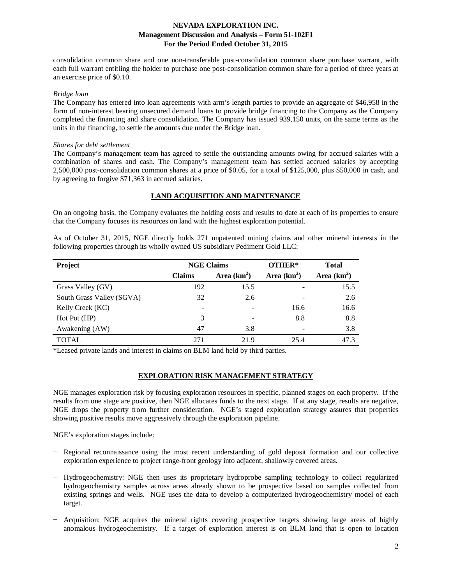consolidation common share and one non-transferable post-consolidation common share purchase warrant, with each full warrant entitling the holder to purchase one post-consolidation common share for a period of three years at an exercise price of \$0.10.

#### *Bridge loan*

The Company has entered into loan agreements with arm's length parties to provide an aggregate of \$46,958 in the form of non-interest bearing unsecured demand loans to provide bridge financing to the Company as the Company completed the financing and share consolidation. The Company has issued 939,150 units, on the same terms as the units in the financing, to settle the amounts due under the Bridge loan.

#### *Shares for debt settlement*

The Company's management team has agreed to settle the outstanding amounts owing for accrued salaries with a combination of shares and cash. The Company's management team has settled accrued salaries by accepting 2,500,000 post-consolidation common shares at a price of \$0.05, for a total of \$125,000, plus \$50,000 in cash, and by agreeing to forgive \$71,363 in accrued salaries.

### **LAND ACQUISITION AND MAINTENANCE**

On an ongoing basis, the Company evaluates the holding costs and results to date at each of its properties to ensure that the Company focuses its resources on land with the highest exploration potential.

As of October 31, 2015, NGE directly holds 271 unpatented mining claims and other mineral interests in the following properties through its wholly owned US subsidiary Pediment Gold LLC:

| Project                   | <b>NGE Claims</b>        |               | OTHER* | <b>Total</b>  |  |  |
|---------------------------|--------------------------|---------------|--------|---------------|--|--|
|                           | <b>Claims</b>            | Area $(km^2)$ |        | Area $(km^2)$ |  |  |
| Grass Valley (GV)         | 192                      | 15.5          |        | 15.5          |  |  |
| South Grass Valley (SGVA) | 32                       | 2.6           |        | 2.6           |  |  |
| Kelly Creek (KC)          | $\overline{\phantom{a}}$ |               | 16.6   | 16.6          |  |  |
| Hot Pot (HP)              | 3                        |               | 8.8    | 8.8           |  |  |
| Awakening (AW)            | 47                       | 3.8           |        | 3.8           |  |  |
| TOTAL                     | 271                      | 21.9          | 25.4   | 47.3          |  |  |

\*Leased private lands and interest in claims on BLM land held by third parties.

### **EXPLORATION RISK MANAGEMENT STRATEGY**

NGE manages exploration risk by focusing exploration resources in specific, planned stages on each property. If the results from one stage are positive, then NGE allocates funds to the next stage. If at any stage, results are negative, NGE drops the property from further consideration. NGE's staged exploration strategy assures that properties showing positive results move aggressively through the exploration pipeline.

NGE's exploration stages include:

- Regional reconnaissance using the most recent understanding of gold deposit formation and our collective exploration experience to project range-front geology into adjacent, shallowly covered areas.
- − Hydrogeochemistry: NGE then uses its proprietary hydroprobe sampling technology to collect regularized hydrogeochemistry samples across areas already shown to be prospective based on samples collected from existing springs and wells. NGE uses the data to develop a computerized hydrogeochemistry model of each target.
- − Acquisition: NGE acquires the mineral rights covering prospective targets showing large areas of highly anomalous hydrogeochemistry. If a target of exploration interest is on BLM land that is open to location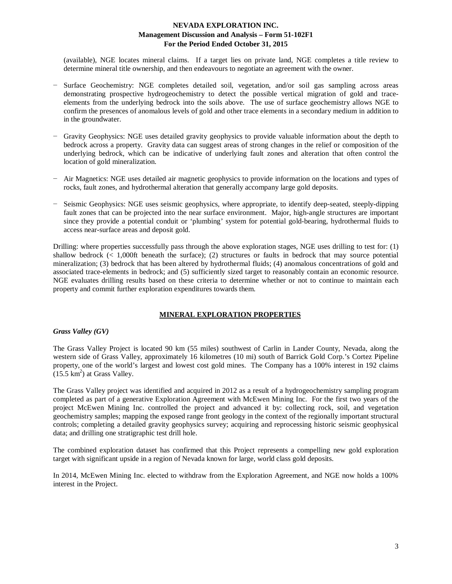(available), NGE locates mineral claims. If a target lies on private land, NGE completes a title review to determine mineral title ownership, and then endeavours to negotiate an agreement with the owner.

- Surface Geochemistry: NGE completes detailed soil, vegetation, and/or soil gas sampling across areas demonstrating prospective hydrogeochemistry to detect the possible vertical migration of gold and traceelements from the underlying bedrock into the soils above. The use of surface geochemistry allows NGE to confirm the presences of anomalous levels of gold and other trace elements in a secondary medium in addition to in the groundwater.
- − Gravity Geophysics: NGE uses detailed gravity geophysics to provide valuable information about the depth to bedrock across a property. Gravity data can suggest areas of strong changes in the relief or composition of the underlying bedrock, which can be indicative of underlying fault zones and alteration that often control the location of gold mineralization.
- − Air Magnetics: NGE uses detailed air magnetic geophysics to provide information on the locations and types of rocks, fault zones, and hydrothermal alteration that generally accompany large gold deposits.
- − Seismic Geophysics: NGE uses seismic geophysics, where appropriate, to identify deep-seated, steeply-dipping fault zones that can be projected into the near surface environment. Major, high-angle structures are important since they provide a potential conduit or 'plumbing' system for potential gold-bearing, hydrothermal fluids to access near-surface areas and deposit gold.

Drilling: where properties successfully pass through the above exploration stages, NGE uses drilling to test for: (1) shallow bedrock (< 1,000ft beneath the surface); (2) structures or faults in bedrock that may source potential mineralization; (3) bedrock that has been altered by hydrothermal fluids; (4) anomalous concentrations of gold and associated trace-elements in bedrock; and (5) sufficiently sized target to reasonably contain an economic resource. NGE evaluates drilling results based on these criteria to determine whether or not to continue to maintain each property and commit further exploration expenditures towards them.

## **MINERAL EXPLORATION PROPERTIES**

### *Grass Valley (GV)*

The Grass Valley Project is located 90 km (55 miles) southwest of Carlin in Lander County, Nevada, along the western side of Grass Valley, approximately 16 kilometres (10 mi) south of Barrick Gold Corp.'s Cortez Pipeline property, one of the world's largest and lowest cost gold mines. The Company has a 100% interest in 192 claims  $(15.5 \text{ km}^2)$  at Grass Valley.

The Grass Valley project was identified and acquired in 2012 as a result of a hydrogeochemistry sampling program completed as part of a generative Exploration Agreement with McEwen Mining Inc. For the first two years of the project McEwen Mining Inc. controlled the project and advanced it by: collecting rock, soil, and vegetation geochemistry samples; mapping the exposed range front geology in the context of the regionally important structural controls; completing a detailed gravity geophysics survey; acquiring and reprocessing historic seismic geophysical data; and drilling one stratigraphic test drill hole.

The combined exploration dataset has confirmed that this Project represents a compelling new gold exploration target with significant upside in a region of Nevada known for large, world class gold deposits.

In 2014, McEwen Mining Inc. elected to withdraw from the Exploration Agreement, and NGE now holds a 100% interest in the Project.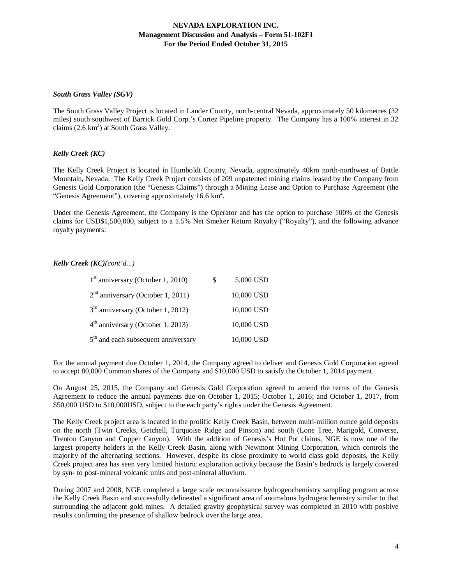### *South Grass Valley (SGV)*

The South Grass Valley Project is located in Lander County, north-central Nevada, approximately 50 kilometres (32 miles) south southwest of Barrick Gold Corp.'s Cortez Pipeline property. The Company has a 100% interest in 32 claims  $(2.6 \text{ km}^2)$  at South Grass Valley.

## *Kelly Creek (KC)*

The Kelly Creek Project is located in Humboldt County, Nevada, approximately 40km north-northwest of Battle Mountain, Nevada. The Kelly Creek Project consists of 209 unpatented mining claims leased by the Company from Genesis Gold Corporation (the "Genesis Claims") through a Mining Lease and Option to Purchase Agreement (the "Genesis Agreement"), covering approximately 16.6  $\text{km}^2$ .

Under the Genesis Agreement, the Company is the Operator and has the option to purchase 100% of the Genesis claims for USD\$1,500,000, subject to a 1.5% Net Smelter Return Royalty ("Royalty"), and the following advance royalty payments:

## *Kelly Creek (KC)(cont'd...)*

| $1st$ anniversary (October 1, 2010)             | \$. | 5,000 USD  |
|-------------------------------------------------|-----|------------|
| $2nd$ anniversary (October 1, 2011)             |     | 10,000 USD |
| $3rd$ anniversary (October 1, 2012)             |     | 10,000 USD |
| $4th$ anniversary (October 1, 2013)             |     | 10,000 USD |
| 5 <sup>th</sup> and each subsequent anniversary |     | 10,000 USD |

For the annual payment due October 1, 2014, the Company agreed to deliver and Genesis Gold Corporation agreed to accept 80,000 Common shares of the Company and \$10,000 USD to satisfy the October 1, 2014 payment.

On August 25, 2015, the Company and Genesis Gold Corporation agreed to amend the terms of the Genesis Agreement to reduce the annual payments due on October 1, 2015; October 1, 2016; and October 1, 2017, from \$50,000 USD to \$10,000USD, subject to the each party's rights under the Genesis Agreement.

The Kelly Creek project area is located in the prolific Kelly Creek Basin, between multi-million ounce gold deposits on the north (Twin Creeks, Getchell, Turquoise Ridge and Pinson) and south (Lone Tree, Marigold, Converse, Trenton Canyon and Copper Canyon). With the addition of Genesis's Hot Pot claims, NGE is now one of the largest property holders in the Kelly Creek Basin, along with Newmont Mining Corporation, which controls the majority of the alternating sections. However, despite its close proximity to world class gold deposits, the Kelly Creek project area has seen very limited historic exploration activity because the Basin's bedrock is largely covered by syn- to post-mineral volcanic units and post-mineral alluvium.

During 2007 and 2008, NGE completed a large scale reconnaissance hydrogeochemistry sampling program across the Kelly Creek Basin and successfully delineated a significant area of anomalous hydrogeochemistry similar to that surrounding the adjacent gold mines. A detailed gravity geophysical survey was completed in 2010 with positive results confirming the presence of shallow bedrock over the large area.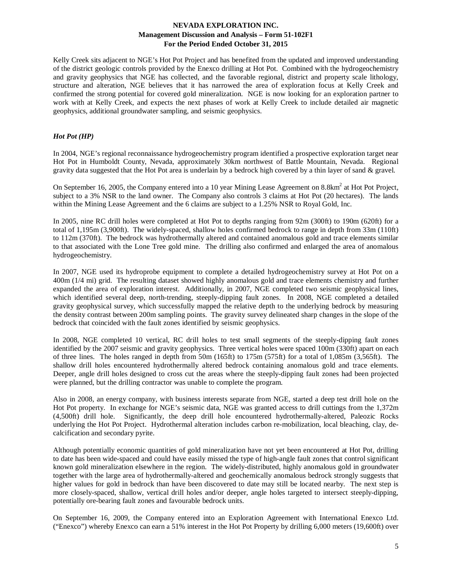Kelly Creek sits adjacent to NGE's Hot Pot Project and has benefited from the updated and improved understanding of the district geologic controls provided by the Enexco drilling at Hot Pot. Combined with the hydrogeochemistry and gravity geophysics that NGE has collected, and the favorable regional, district and property scale lithology, structure and alteration, NGE believes that it has narrowed the area of exploration focus at Kelly Creek and confirmed the strong potential for covered gold mineralization. NGE is now looking for an exploration partner to work with at Kelly Creek, and expects the next phases of work at Kelly Creek to include detailed air magnetic geophysics, additional groundwater sampling, and seismic geophysics.

### *Hot Pot (HP)*

In 2004, NGE's regional reconnaissance hydrogeochemistry program identified a prospective exploration target near Hot Pot in Humboldt County, Nevada, approximately 30km northwest of Battle Mountain, Nevada. Regional gravity data suggested that the Hot Pot area is underlain by a bedrock high covered by a thin layer of sand & gravel.

On September 16, 2005, the Company entered into a 10 year Mining Lease Agreement on  $8.8 \text{km}^2$  at Hot Project, subject to a 3% NSR to the land owner. The Company also controls 3 claims at Hot Pot (20 hectares). The lands within the Mining Lease Agreement and the 6 claims are subject to a 1.25% NSR to Royal Gold, Inc.

In 2005, nine RC drill holes were completed at Hot Pot to depths ranging from 92m (300ft) to 190m (620ft) for a total of 1,195m (3,900ft). The widely-spaced, shallow holes confirmed bedrock to range in depth from 33m (110ft) to 112m (370ft). The bedrock was hydrothermally altered and contained anomalous gold and trace elements similar to that associated with the Lone Tree gold mine. The drilling also confirmed and enlarged the area of anomalous hydrogeochemistry.

In 2007, NGE used its hydroprobe equipment to complete a detailed hydrogeochemistry survey at Hot Pot on a 400m (1/4 mi) grid. The resulting dataset showed highly anomalous gold and trace elements chemistry and further expanded the area of exploration interest. Additionally, in 2007, NGE completed two seismic geophysical lines, which identified several deep, north-trending, steeply-dipping fault zones. In 2008, NGE completed a detailed gravity geophysical survey, which successfully mapped the relative depth to the underlying bedrock by measuring the density contrast between 200m sampling points. The gravity survey delineated sharp changes in the slope of the bedrock that coincided with the fault zones identified by seismic geophysics.

In 2008, NGE completed 10 vertical, RC drill holes to test small segments of the steeply-dipping fault zones identified by the 2007 seismic and gravity geophysics. Three vertical holes were spaced 100m (330ft) apart on each of three lines. The holes ranged in depth from 50m (165ft) to 175m (575ft) for a total of 1,085m (3,565ft). The shallow drill holes encountered hydrothermally altered bedrock containing anomalous gold and trace elements. Deeper, angle drill holes designed to cross cut the areas where the steeply-dipping fault zones had been projected were planned, but the drilling contractor was unable to complete the program.

Also in 2008, an energy company, with business interests separate from NGE, started a deep test drill hole on the Hot Pot property. In exchange for NGE's seismic data, NGE was granted access to drill cuttings from the 1,372m (4,500ft) drill hole. Significantly, the deep drill hole encountered hydrothermally-altered, Paleozic Rocks underlying the Hot Pot Project. Hydrothermal alteration includes carbon re-mobilization, local bleaching, clay, decalcification and secondary pyrite.

Although potentially economic quantities of gold mineralization have not yet been encountered at Hot Pot, drilling to date has been wide-spaced and could have easily missed the type of high-angle fault zones that control significant known gold mineralization elsewhere in the region. The widely-distributed, highly anomalous gold in groundwater together with the large area of hydrothermally-altered and geochemically anomalous bedrock strongly suggests that higher values for gold in bedrock than have been discovered to date may still be located nearby. The next step is more closely-spaced, shallow, vertical drill holes and/or deeper, angle holes targeted to intersect steeply-dipping, potentially ore-bearing fault zones and favourable bedrock units.

On September 16, 2009, the Company entered into an Exploration Agreement with International Enexco Ltd. ("Enexco") whereby Enexco can earn a 51% interest in the Hot Pot Property by drilling 6,000 meters (19,600ft) over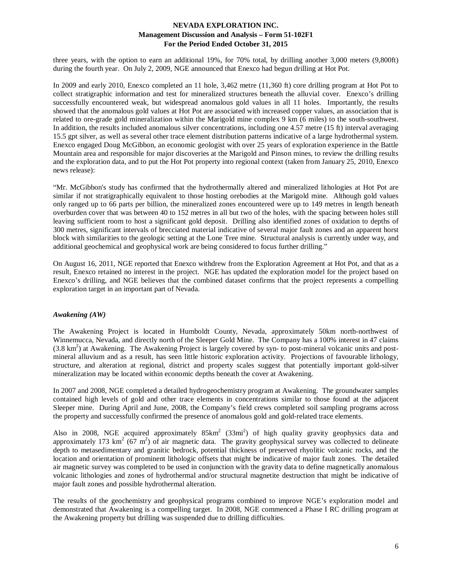three years, with the option to earn an additional 19%, for 70% total, by drilling another 3,000 meters (9,800ft) during the fourth year. On July 2, 2009, NGE announced that Enexco had begun drilling at Hot Pot.

In 2009 and early 2010, Enexco completed an 11 hole, 3,462 metre (11,360 ft) core drilling program at Hot Pot to collect stratigraphic information and test for mineralized structures beneath the alluvial cover. Enexco's drilling successfully encountered weak, but widespread anomalous gold values in all 11 holes. Importantly, the results showed that the anomalous gold values at Hot Pot are associated with increased copper values, an association that is related to ore-grade gold mineralization within the Marigold mine complex 9 km (6 miles) to the south-southwest. In addition, the results included anomalous silver concentrations, including one 4.57 metre (15 ft) interval averaging 15.5 gpt silver, as well as several other trace element distribution patterns indicative of a large hydrothermal system. Enexco engaged Doug McGibbon, an economic geologist with over 25 years of exploration experience in the Battle Mountain area and responsible for major discoveries at the Marigold and Pinson mines, to review the drilling results and the exploration data, and to put the Hot Pot property into regional context (taken from January 25, 2010, Enexco news release):

"Mr. McGibbon's study has confirmed that the hydrothermally altered and mineralized lithologies at Hot Pot are similar if not stratigraphically equivalent to those hosting orebodies at the Marigold mine. Although gold values only ranged up to 66 parts per billion, the mineralized zones encountered were up to 149 metres in length beneath overburden cover that was between 40 to 152 metres in all but two of the holes, with the spacing between holes still leaving sufficient room to host a significant gold deposit. Drilling also identified zones of oxidation to depths of 300 metres, significant intervals of brecciated material indicative of several major fault zones and an apparent horst block with similarities to the geologic setting at the Lone Tree mine. Structural analysis is currently under way, and additional geochemical and geophysical work are being considered to focus further drilling."

On August 16, 2011, NGE reported that Enexco withdrew from the Exploration Agreement at Hot Pot, and that as a result, Enexco retained no interest in the project. NGE has updated the exploration model for the project based on Enexco's drilling, and NGE believes that the combined dataset confirms that the project represents a compelling exploration target in an important part of Nevada.

## *Awakening (AW)*

The Awakening Project is located in Humboldt County, Nevada, approximately 50km north-northwest of Winnemucca, Nevada, and directly north of the Sleeper Gold Mine. The Company has a 100% interest in 47 claims  $(3.8 \text{ km}^2)$  at Awakening. The Awakening Project is largely covered by syn- to post-mineral volcanic units and postmineral alluvium and as a result, has seen little historic exploration activity. Projections of favourable lithology, structure, and alteration at regional, district and property scales suggest that potentially important gold-silver mineralization may be located within economic depths beneath the cover at Awakening.

In 2007 and 2008, NGE completed a detailed hydrogeochemistry program at Awakening. The groundwater samples contained high levels of gold and other trace elements in concentrations similar to those found at the adjacent Sleeper mine. During April and June, 2008, the Company's field crews completed soil sampling programs across the property and successfully confirmed the presence of anomalous gold and gold-related trace elements.

Also in 2008, NGE acquired approximately  $85 \text{km}^2$  (33mi<sup>2</sup>) of high quality gravity geophysics data and approximately 173 km<sup>2</sup> (67 m<sup>2</sup>) of air magnetic data. The gravity geophysical survey was collected to delineate depth to metasedimentary and granitic bedrock, potential thickness of preserved rhyolitic volcanic rocks, and the location and orientation of prominent lithologic offsets that might be indicative of major fault zones. The detailed air magnetic survey was completed to be used in conjunction with the gravity data to define magnetically anomalous volcanic lithologies and zones of hydrothermal and/or structural magnetite destruction that might be indicative of major fault zones and possible hydrothermal alteration.

The results of the geochemistry and geophysical programs combined to improve NGE's exploration model and demonstrated that Awakening is a compelling target. In 2008, NGE commenced a Phase I RC drilling program at the Awakening property but drilling was suspended due to drilling difficulties.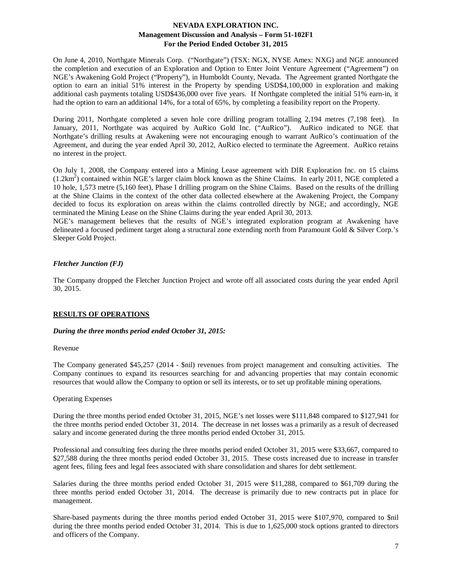On June 4, 2010, Northgate Minerals Corp. ("Northgate") (TSX: NGX, NYSE Amex: NXG) and NGE announced the completion and execution of an Exploration and Option to Enter Joint Venture Agreement ("Agreement") on NGE's Awakening Gold Project ("Property"), in Humboldt County, Nevada. The Agreement granted Northgate the option to earn an initial 51% interest in the Property by spending USD\$4,100,000 in exploration and making additional cash payments totaling USD\$436,000 over five years. If Northgate completed the initial 51% earn-in, it had the option to earn an additional 14%, for a total of 65%, by completing a feasibility report on the Property.

During 2011, Northgate completed a seven hole core drilling program totalling 2,194 metres (7,198 feet). In January, 2011, Northgate was acquired by AuRico Gold Inc. ("AuRico"). AuRico indicated to NGE that Northgate's drilling results at Awakening were not encouraging enough to warrant AuRico's continuation of the Agreement, and during the year ended April 30, 2012, AuRico elected to terminate the Agreement. AuRico retains no interest in the project.

On July 1, 2008, the Company entered into a Mining Lease agreement with DIR Exploration Inc. on 15 claims (1.2km<sup>2</sup>) contained within NGE's larger claim block known as the Shine Claims. In early 2011, NGE completed a 10 hole, 1,573 metre (5,160 feet), Phase I drilling program on the Shine Claims. Based on the results of the drilling at the Shine Claims in the context of the other data collected elsewhere at the Awakening Project, the Company decided to focus its exploration on areas within the claims controlled directly by NGE; and accordingly, NGE terminated the Mining Lease on the Shine Claims during the year ended April 30, 2013.

NGE's management believes that the results of NGE's integrated exploration program at Awakening have delineated a focused pediment target along a structural zone extending north from Paramount Gold & Silver Corp.'s Sleeper Gold Project.

# *Fletcher Junction (FJ)*

The Company dropped the Fletcher Junction Project and wrote off all associated costs during the year ended April 30, 2015.

## **RESULTS OF OPERATIONS**

## *During the three months period ended October 31, 2015:*

### Revenue

The Company generated \$45,257 (2014 - \$nil) revenues from project management and consulting activities. The Company continues to expand its resources searching for and advancing properties that may contain economic resources that would allow the Company to option or sell its interests, or to set up profitable mining operations.

### Operating Expenses

During the three months period ended October 31, 2015, NGE's net losses were \$111,848 compared to \$127,941 for the three months period ended October 31, 2014. The decrease in net losses was a primarily as a result of decreased salary and income generated during the three months period ended October 31, 2015.

Professional and consulting fees during the three months period ended October 31, 2015 were \$33,667, compared to \$27,588 during the three months period ended October 31, 2015. These costs increased due to increase in transfer agent fees, filing fees and legal fees associated with share consolidation and shares for debt settlement.

Salaries during the three months period ended October 31, 2015 were \$11,288, compared to \$61,709 during the three months period ended October 31, 2014. The decrease is primarily due to new contracts put in place for management.

Share-based payments during the three months period ended October 31, 2015 were \$107,970, compared to \$nil during the three months period ended October 31, 2014. This is due to 1,625,000 stock options granted to directors and officers of the Company.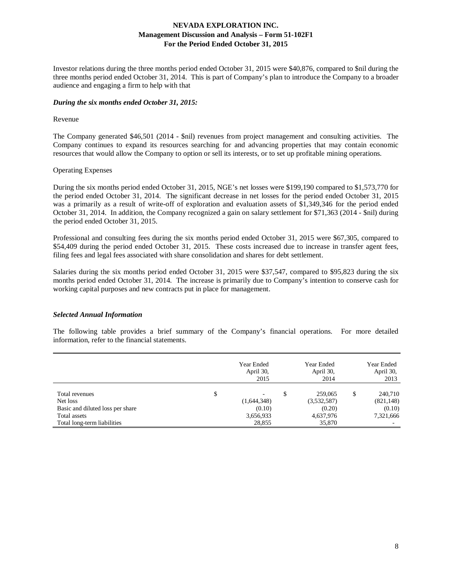Investor relations during the three months period ended October 31, 2015 were \$40,876, compared to \$nil during the three months period ended October 31, 2014. This is part of Company's plan to introduce the Company to a broader audience and engaging a firm to help with that

### *During the six months ended October 31, 2015:*

### Revenue

The Company generated \$46,501 (2014 - \$nil) revenues from project management and consulting activities. The Company continues to expand its resources searching for and advancing properties that may contain economic resources that would allow the Company to option or sell its interests, or to set up profitable mining operations.

## Operating Expenses

During the six months period ended October 31, 2015, NGE's net losses were \$199,190 compared to \$1,573,770 for the period ended October 31, 2014. The significant decrease in net losses for the period ended October 31, 2015 was a primarily as a result of write-off of exploration and evaluation assets of \$1,349,346 for the period ended October 31, 2014. In addition, the Company recognized a gain on salary settlement for \$71,363 (2014 - \$nil) during the period ended October 31, 2015.

Professional and consulting fees during the six months period ended October 31, 2015 were \$67,305, compared to \$54,409 during the period ended October 31, 2015. These costs increased due to increase in transfer agent fees, filing fees and legal fees associated with share consolidation and shares for debt settlement.

Salaries during the six months period ended October 31, 2015 were \$37,547, compared to \$95,823 during the six months period ended October 31, 2014. The increase is primarily due to Company's intention to conserve cash for working capital purposes and new contracts put in place for management.

## *Selected Annual Information*

The following table provides a brief summary of the Company's financial operations. For more detailed information, refer to the financial statements.

|                                  | Year Ended<br>April 30,<br>2015 | Year Ended<br>April 30,<br>2014 | Year Ended<br>April 30,<br>2013 |
|----------------------------------|---------------------------------|---------------------------------|---------------------------------|
| Total revenues                   | \$<br>-                         | \$<br>259,065                   | \$<br>240,710                   |
| Net loss                         | (1,644,348)                     | (3,532,587)                     | (821, 148)                      |
| Basic and diluted loss per share | (0.10)                          | (0.20)                          | (0.10)                          |
| Total assets                     | 3,656,933                       | 4,637,976                       | 7,321,666                       |
| Total long-term liabilities      | 28,855                          | 35,870                          |                                 |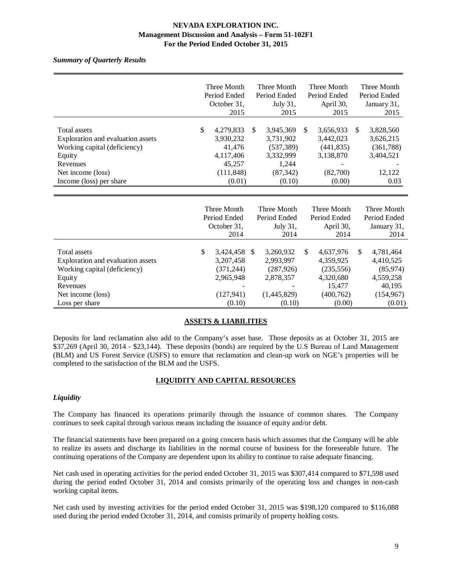## *Summary of Quarterly Results*

|                                                                                                                                                         | Three Month                                                                           | Three Month                                                                            | Three Month                                                                              | Three Month                                                               |
|---------------------------------------------------------------------------------------------------------------------------------------------------------|---------------------------------------------------------------------------------------|----------------------------------------------------------------------------------------|------------------------------------------------------------------------------------------|---------------------------------------------------------------------------|
|                                                                                                                                                         | Period Ended                                                                          | Period Ended                                                                           | Period Ended                                                                             | Period Ended                                                              |
|                                                                                                                                                         | October 31.                                                                           | July 31,                                                                               | April 30,                                                                                | January 31,                                                               |
|                                                                                                                                                         | 2015                                                                                  | 2015                                                                                   | 2015                                                                                     | 2015                                                                      |
| Total assets<br>Exploration and evaluation assets<br>Working capital (deficiency)<br>Equity<br>Revenues<br>Net income (loss)<br>Income (loss) per share | \$<br>4,279,833<br>3,930,232<br>41,476<br>4,117,406<br>45,257<br>(111, 848)<br>(0.01) | 3,945,369<br>S<br>3,731,902<br>(537, 389)<br>3,332,999<br>1.244<br>(87, 342)<br>(0.10) | <sup>\$</sup><br>3,656,933<br>3.442,023<br>(441, 835)<br>3,138,870<br>(82,700)<br>(0.00) | 3,828,560<br>-S<br>3,626,215<br>(361, 788)<br>3,404,521<br>12,122<br>0.03 |

|                                                                                   | Three Month<br>Period Ended<br>October 31,<br>2014 |    | Three Month<br>Period Ended<br>July $31$ ,<br>2014 |               | Three Month<br>Period Ended<br>April 30,<br>2014 |    | Three Month<br>Period Ended<br>January 31,<br>2014 |
|-----------------------------------------------------------------------------------|----------------------------------------------------|----|----------------------------------------------------|---------------|--------------------------------------------------|----|----------------------------------------------------|
| Total assets<br>Exploration and evaluation assets<br>Working capital (deficiency) | \$<br>3,424,458<br>3, 207, 458                     | -S | 3,260,932<br>2,993,997<br>(287, 926)               | <sup>\$</sup> | 4,637,976<br>4,359,925                           | -S | 4,781,464<br>4,410,525                             |
| Equity<br>Revenues                                                                | (371, 244)<br>2,965,948                            |    | 2,878,357                                          |               | (235, 556)<br>4,320,680<br>15.477                |    | (85, 974)<br>4,559,258<br>40,195                   |
| Net income (loss)<br>Loss per share                                               | (127, 941)<br>(0.10)                               |    | (1,445,829)<br>(0.10)                              |               | (400, 762)<br>(0.00)                             |    | (154, 967)<br>(0.01)                               |

# **ASSETS & LIABILITIES**

Deposits for land reclamation also add to the Company's asset base. Those deposits as at October 31, 2015 are \$37,269 (April 30, 2014 - \$23,144). These deposits (bonds) are required by the U.S Bureau of Land Management (BLM) and US Forest Service (USFS) to ensure that reclamation and clean-up work on NGE's properties will be completed to the satisfaction of the BLM and the USFS.

## **LIQUIDITY AND CAPITAL RESOURCES**

## *Liquidity*

The Company has financed its operations primarily through the issuance of common shares. The Company continues to seek capital through various means including the issuance of equity and/or debt.

The financial statements have been prepared on a going concern basis which assumes that the Company will be able to realize its assets and discharge its liabilities in the normal course of business for the foreseeable future. The continuing operations of the Company are dependent upon its ability to continue to raise adequate financing.

Net cash used in operating activities for the period ended October 31, 2015 was \$307,414 compared to \$71,598 used during the period ended October 31, 2014 and consists primarily of the operating loss and changes in non-cash working capital items.

Net cash used by investing activities for the period ended October 31, 2015 was \$198,120 compared to \$116,088 used during the period ended October 31, 2014, and consists primarily of property holding costs.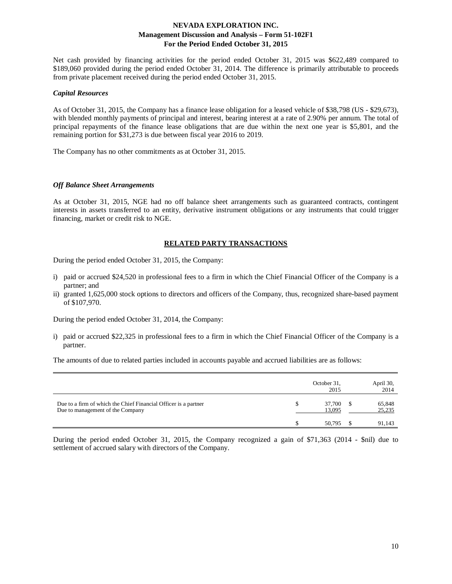Net cash provided by financing activities for the period ended October 31, 2015 was \$622,489 compared to \$189,060 provided during the period ended October 31, 2014. The difference is primarily attributable to proceeds from private placement received during the period ended October 31, 2015.

#### *Capital Resources*

As of October 31, 2015, the Company has a finance lease obligation for a leased vehicle of \$38,798 (US - \$29,673), with blended monthly payments of principal and interest, bearing interest at a rate of 2.90% per annum. The total of principal repayments of the finance lease obligations that are due within the next one year is \$5,801, and the remaining portion for \$31,273 is due between fiscal year 2016 to 2019.

The Company has no other commitments as at October 31, 2015.

#### *Off Balance Sheet Arrangements*

As at October 31, 2015, NGE had no off balance sheet arrangements such as guaranteed contracts, contingent interests in assets transferred to an entity, derivative instrument obligations or any instruments that could trigger financing, market or credit risk to NGE.

### **RELATED PARTY TRANSACTIONS**

During the period ended October 31, 2015, the Company:

- i) paid or accrued \$24,520 in professional fees to a firm in which the Chief Financial Officer of the Company is a partner; and
- ii) granted 1,625,000 stock options to directors and officers of the Company, thus, recognized share-based payment of \$107,970.

During the period ended October 31, 2014, the Company:

i) paid or accrued \$22,325 in professional fees to a firm in which the Chief Financial Officer of the Company is a partner.

The amounts of due to related parties included in accounts payable and accrued liabilities are as follows:

|                                                                                                     | October 31,<br>2015 | April 30,<br>2014 |
|-----------------------------------------------------------------------------------------------------|---------------------|-------------------|
| Due to a firm of which the Chief Financial Officer is a partner<br>Due to management of the Company | 37,700<br>13,095    | 65,848<br>25,235  |
|                                                                                                     | 50.795              | 91,143            |

During the period ended October 31, 2015, the Company recognized a gain of \$71,363 (2014 - \$nil) due to settlement of accrued salary with directors of the Company.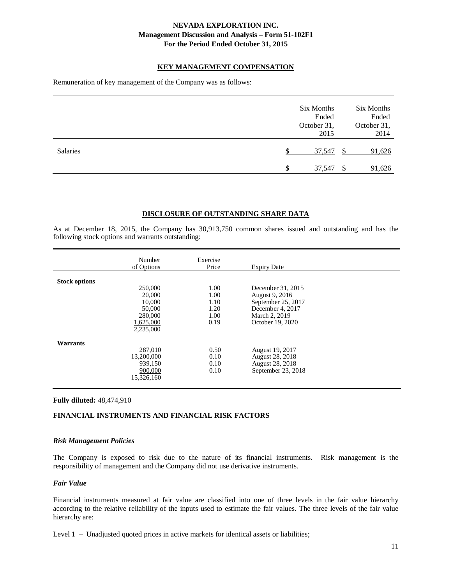## **KEY MANAGEMENT COMPENSATION**

Remuneration of key management of the Company was as follows:

|                 |   | Six Months<br>Ended<br>October 31,<br>2015 |               | Six Months<br>Ended<br>October 31,<br>2014 |
|-----------------|---|--------------------------------------------|---------------|--------------------------------------------|
| <b>Salaries</b> |   | 37,547                                     | <sup>\$</sup> | 91,626                                     |
|                 | S | 37,547                                     | -\$           | 91,626                                     |

### **DISCLOSURE OF OUTSTANDING SHARE DATA**

As at December 18, 2015, the Company has 30,913,750 common shares issued and outstanding and has the following stock options and warrants outstanding:

|                      | Number<br>of Options                                                       | Exercise<br>Price                            | <b>Expiry Date</b>                                                                                                 |  |
|----------------------|----------------------------------------------------------------------------|----------------------------------------------|--------------------------------------------------------------------------------------------------------------------|--|
| <b>Stock options</b> | 250,000<br>20,000<br>10,000<br>50,000<br>280,000<br>1,625,000<br>2,235,000 | 1.00<br>1.00<br>1.10<br>1.20<br>1.00<br>0.19 | December 31, 2015<br>August 9, 2016<br>September 25, 2017<br>December 4, 2017<br>March 2, 2019<br>October 19, 2020 |  |
| Warrants             | 287,010<br>13,200,000<br>939,150<br>900,000<br>15.326.160                  | 0.50<br>0.10<br>0.10<br>0.10                 | August 19, 2017<br>August 28, 2018<br>August 28, 2018<br>September 23, 2018                                        |  |

### **Fully diluted:** 48,474,910

## **FINANCIAL INSTRUMENTS AND FINANCIAL RISK FACTORS**

### *Risk Management Policies*

The Company is exposed to risk due to the nature of its financial instruments. Risk management is the responsibility of management and the Company did not use derivative instruments.

### *Fair Value*

Financial instruments measured at fair value are classified into one of three levels in the fair value hierarchy according to the relative reliability of the inputs used to estimate the fair values. The three levels of the fair value hierarchy are:

Level 1 – Unadjusted quoted prices in active markets for identical assets or liabilities;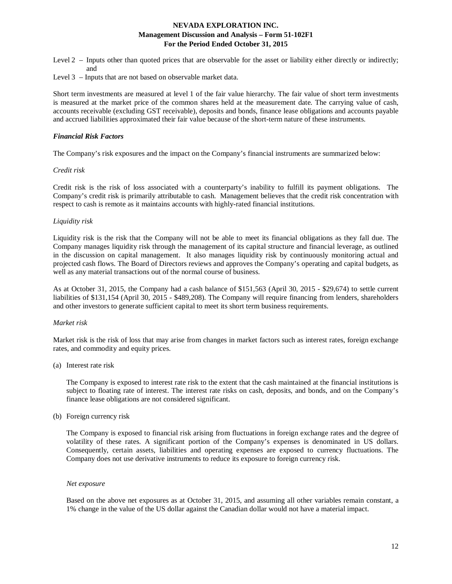Level 2 – Inputs other than quoted prices that are observable for the asset or liability either directly or indirectly; and

Level 3 – Inputs that are not based on observable market data.

Short term investments are measured at level 1 of the fair value hierarchy. The fair value of short term investments is measured at the market price of the common shares held at the measurement date. The carrying value of cash, accounts receivable (excluding GST receivable), deposits and bonds, finance lease obligations and accounts payable and accrued liabilities approximated their fair value because of the short-term nature of these instruments.

### *Financial Risk Factors*

The Company's risk exposures and the impact on the Company's financial instruments are summarized below:

### *Credit risk*

Credit risk is the risk of loss associated with a counterparty's inability to fulfill its payment obligations. The Company's credit risk is primarily attributable to cash. Management believes that the credit risk concentration with respect to cash is remote as it maintains accounts with highly-rated financial institutions.

### *Liquidity risk*

Liquidity risk is the risk that the Company will not be able to meet its financial obligations as they fall due. The Company manages liquidity risk through the management of its capital structure and financial leverage, as outlined in the discussion on capital management. It also manages liquidity risk by continuously monitoring actual and projected cash flows. The Board of Directors reviews and approves the Company's operating and capital budgets, as well as any material transactions out of the normal course of business.

As at October 31, 2015, the Company had a cash balance of \$151,563 (April 30, 2015 - \$29,674) to settle current liabilities of \$131,154 (April 30, 2015 - \$489,208). The Company will require financing from lenders, shareholders and other investors to generate sufficient capital to meet its short term business requirements.

### *Market risk*

Market risk is the risk of loss that may arise from changes in market factors such as interest rates, foreign exchange rates, and commodity and equity prices.

### (a) Interest rate risk

The Company is exposed to interest rate risk to the extent that the cash maintained at the financial institutions is subject to floating rate of interest. The interest rate risks on cash, deposits, and bonds, and on the Company's finance lease obligations are not considered significant.

(b) Foreign currency risk

The Company is exposed to financial risk arising from fluctuations in foreign exchange rates and the degree of volatility of these rates. A significant portion of the Company's expenses is denominated in US dollars. Consequently, certain assets, liabilities and operating expenses are exposed to currency fluctuations. The Company does not use derivative instruments to reduce its exposure to foreign currency risk.

#### *Net exposure*

Based on the above net exposures as at October 31, 2015, and assuming all other variables remain constant, a 1% change in the value of the US dollar against the Canadian dollar would not have a material impact.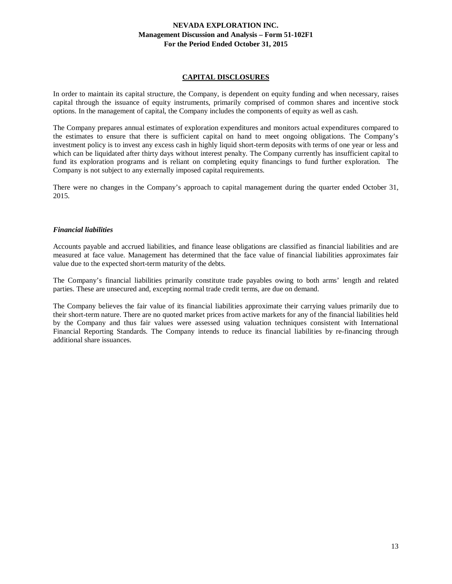## **CAPITAL DISCLOSURES**

In order to maintain its capital structure, the Company, is dependent on equity funding and when necessary, raises capital through the issuance of equity instruments, primarily comprised of common shares and incentive stock options. In the management of capital, the Company includes the components of equity as well as cash.

The Company prepares annual estimates of exploration expenditures and monitors actual expenditures compared to the estimates to ensure that there is sufficient capital on hand to meet ongoing obligations. The Company's investment policy is to invest any excess cash in highly liquid short-term deposits with terms of one year or less and which can be liquidated after thirty days without interest penalty. The Company currently has insufficient capital to fund its exploration programs and is reliant on completing equity financings to fund further exploration. The Company is not subject to any externally imposed capital requirements.

There were no changes in the Company's approach to capital management during the quarter ended October 31, 2015.

## *Financial liabilities*

Accounts payable and accrued liabilities, and finance lease obligations are classified as financial liabilities and are measured at face value. Management has determined that the face value of financial liabilities approximates fair value due to the expected short-term maturity of the debts.

The Company's financial liabilities primarily constitute trade payables owing to both arms' length and related parties. These are unsecured and, excepting normal trade credit terms, are due on demand.

The Company believes the fair value of its financial liabilities approximate their carrying values primarily due to their short-term nature. There are no quoted market prices from active markets for any of the financial liabilities held by the Company and thus fair values were assessed using valuation techniques consistent with International Financial Reporting Standards. The Company intends to reduce its financial liabilities by re-financing through additional share issuances.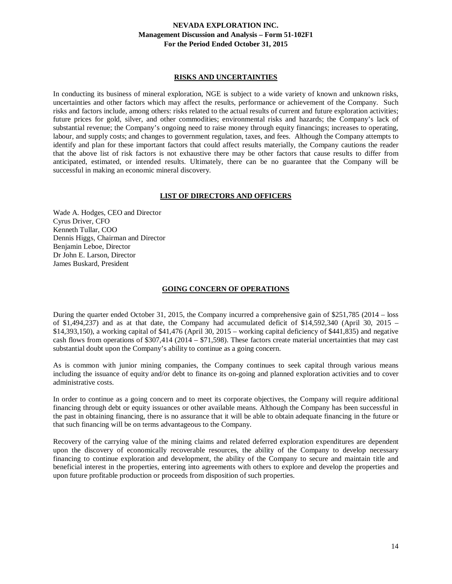### **RISKS AND UNCERTAINTIES**

In conducting its business of mineral exploration, NGE is subject to a wide variety of known and unknown risks, uncertainties and other factors which may affect the results, performance or achievement of the Company. Such risks and factors include, among others: risks related to the actual results of current and future exploration activities; future prices for gold, silver, and other commodities; environmental risks and hazards; the Company's lack of substantial revenue; the Company's ongoing need to raise money through equity financings; increases to operating, labour, and supply costs; and changes to government regulation, taxes, and fees. Although the Company attempts to identify and plan for these important factors that could affect results materially, the Company cautions the reader that the above list of risk factors is not exhaustive there may be other factors that cause results to differ from anticipated, estimated, or intended results. Ultimately, there can be no guarantee that the Company will be successful in making an economic mineral discovery.

## **LIST OF DIRECTORS AND OFFICERS**

Wade A. Hodges, CEO and Director Cyrus Driver, CFO Kenneth Tullar, COO Dennis Higgs, Chairman and Director Benjamin Leboe, Director Dr John E. Larson, Director James Buskard, President

### **GOING CONCERN OF OPERATIONS**

During the quarter ended October 31, 2015, the Company incurred a comprehensive gain of \$251,785 (2014 – loss of \$1,494,237) and as at that date, the Company had accumulated deficit of \$14,592,340 (April 30, 2015 – \$14,393,150), a working capital of \$41,476 (April 30, 2015 – working capital deficiency of \$441,835) and negative cash flows from operations of \$307,414 (2014 – \$71,598). These factors create material uncertainties that may cast substantial doubt upon the Company's ability to continue as a going concern.

As is common with junior mining companies, the Company continues to seek capital through various means including the issuance of equity and/or debt to finance its on-going and planned exploration activities and to cover administrative costs.

In order to continue as a going concern and to meet its corporate objectives, the Company will require additional financing through debt or equity issuances or other available means. Although the Company has been successful in the past in obtaining financing, there is no assurance that it will be able to obtain adequate financing in the future or that such financing will be on terms advantageous to the Company.

Recovery of the carrying value of the mining claims and related deferred exploration expenditures are dependent upon the discovery of economically recoverable resources, the ability of the Company to develop necessary financing to continue exploration and development, the ability of the Company to secure and maintain title and beneficial interest in the properties, entering into agreements with others to explore and develop the properties and upon future profitable production or proceeds from disposition of such properties.